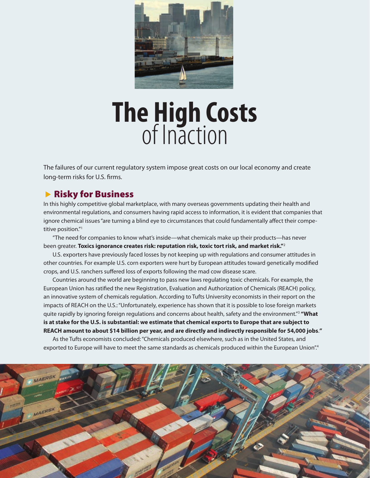

# **The High Costs** of Inaction

The failures of our current regulatory system impose great costs on our local economy and create long-term risks for U.S. firms.

### **Risky for Business**

In this highly competitive global marketplace, with many overseas governments updating their health and environmental regulations, and consumers having rapid access to information, it is evident that companies that ignore chemical issues "are turning a blind eye to circumstances that could fundamentally affect their competitive position."1

"The need for companies to know what's inside—what chemicals make up their products—has never been greater. **Toxics ignorance creates risk: reputation risk, toxic tort risk, and market risk."**<sup>2</sup>

U.S. exporters have previously faced losses by not keeping up with regulations and consumer attitudes in other countries. For example U.S. corn exporters were hurt by European attitudes toward genetically modified crops, and U.S. ranchers suffered loss of exports following the mad cow disease scare.

Countries around the world are beginning to pass new laws regulating toxic chemicals. For example, the European Union has ratified the new Registration, Evaluation and Authorization of Chemicals (REACH) policy, an innovative system of chemicals regulation. According to Tufts University economists in their report on the impacts of REACH on the U.S.: "Unfortunately, experience has shown that it is possible to lose foreign markets quite rapidly by ignoring foreign regulations and concerns about health, safety and the environment."3  **"What is at stake for the U.S. is substantial: we estimate that chemical exports to Europe that are subject to REACH amount to about \$14 billion per year, and are directly and indirectly responsible for 54,000 jobs**.**"**

As the Tufts economists concluded: "Chemicals produced elsewhere, such as in the United States, and exported to Europe will have to meet the same standards as chemicals produced within the European Union".<sup>4</sup>

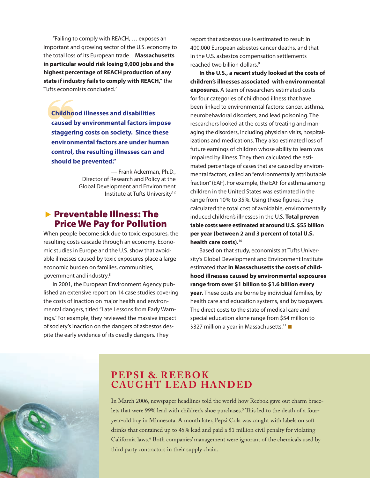"Failing to comply with REACH, … exposes an important and growing sector of the U.S. economy to the total loss of its European trade…**Massachusetts in particular would risk losing 9,000 jobs and the highest percentage of REACH production of any state if industry fails to comply with REACH,"** the Tufts economists concluded.7

**Childhood illnesses and disabilities<br>
caused by environmental factors impose<br>
staggering costs on society. Since these Childhood illnesses and disabilities caused by environmental factors impose environmental factors are under human control, the resulting illnesses can and should be prevented."**

> — Frank Ackerman, Ph.D., Director of Research and Policy at the Global Development and Environment Institute at Tufts University<sup>12</sup>

#### $\blacktriangleright$  Preventable Illness: The Price We Pay for Pollution

When people become sick due to toxic exposures, the resulting costs cascade through an economy. Economic studies in Europe and the U.S. show that avoidable illnesses caused by toxic exposures place a large economic burden on families, communities, government and industry.8

In 2001, the European Environment Agency published an extensive report on 14 case studies covering the costs of inaction on major health and environmental dangers, titled "Late Lessons from Early Warnings." For example, they reviewed the massive impact of society's inaction on the dangers of asbestos despite the early evidence of its deadly dangers. They

report that asbestos use is estimated to result in 400,000 European asbestos cancer deaths, and that in the U.S. asbestos compensation settlements reached two billion dollars.9

**In the U.S., a recent study looked at the costs of children's illnesses associated with environmental exposures**. A team of researchers estimated costs for four categories of childhood illness that have been linked to environmental factors: cancer, asthma, neurobehavioral disorders, and lead poisoning. The researchers looked at the costs of treating and managing the disorders, including physician visits, hospitalizations and medications. They also estimated loss of future earnings of children whose ability to learn was impaired by illness. They then calculated the estimated percentage of cases that are caused by environmental factors, called an "environmentally attributable fraction" (EAF). For example, the EAF for asthma among children in the United States was estimated in the range from 10% to 35%. Using these figures, they calculated the total cost of avoidable, environmentally induced children's illnesses in the U.S. **Total preventable costs were estimated at around U.S. \$55 billion per year (between 2 and 3 percent of total U.S. health care costs).**<sup>10</sup>

Based on that study, economists at Tufts University's Global Development and Environment Institute estimated that **in Massachusetts the costs of childhood illnesses caused by environmental exposures range from over \$1 billion to \$1.6 billion every year.** These costs are borne by individual families, by health care and education systems, and by taxpayers. The direct costs to the state of medical care and special education alone range from \$54 million to \$327 million a year in Massachusetts.<sup>11</sup>

#### **PEPSI & REEBOK CAUGHT LEAD HANDED**

In March 2006, newspaper headlines told the world how Reebok gave out charm bracelets that were 99% lead with children's shoe purchases.<sup>5</sup> This led to the death of a fouryear-old boy in Minnesota. A month later, Pepsi Cola was caught with labels on soft drinks that contained up to 45% lead and paid a \$1 million civil penalty for violating California laws.6 Both companies' management were ignorant of the chemicals used by third party contractors in their supply chain.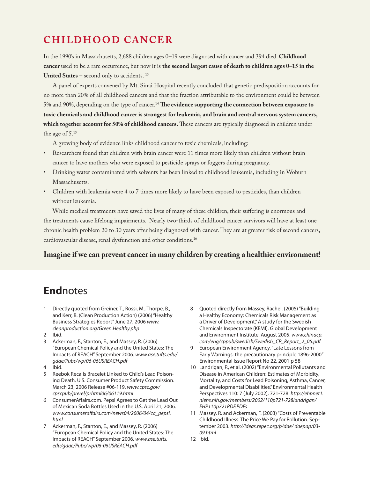# **C h ild h o o d C a ncer**

In the 1990's in Massachusetts, 2,688 children ages 0–19 were diagnosed with cancer and 394 died. **Childhood cancer** used to be a rare occurrence, but now it is **the second largest cause of death to children ages 0–15 in the**  United States – second only to accidents.<sup>13</sup>

A panel of experts convened by Mt. Sinai Hospital recently concluded that genetic predisposition accounts for no more than 20% of all childhood cancers and that the fraction attributable to the environment could be between 5% and 90%, depending on the type of cancer.14 **The evidence supporting the connection between exposure to toxic chemicals and childhood cancer is strongest for leukemia, and brain and central nervous system cancers, which together account for 50% of childhood cancers.** These cancers are typically diagnosed in children under the age of 5.15

A growing body of evidence links childhood cancer to toxic chemicals, including:

- Researchers found that children with brain cancer were 11 times more likely than children without brain cancer to have mothers who were exposed to pesticide sprays or foggers during pregnancy.
- Drinking water contaminated with solvents has been linked to childhood leukemia, including in Woburn Massachusetts.
- Children with leukemia were 4 to 7 times more likely to have been exposed to pesticides, than children without leukemia.

While medical treatments have saved the lives of many of these children, their suffering is enormous and the treatments cause lifelong impairments. Nearly two-thirds of childhood cancer survivors will have at least one chronic health problem 20 to 30 years after being diagnosed with cancer. They are at greater risk of second cancers, cardiovascular disease, renal dysfunction and other conditions.16

#### **Imagine if we can prevent cancer in many children by creating a healthier environment!**

## **End**notes

- 1 Directly quoted from Greiner, T., Rossi, M., Thorpe, B., and Kerr, B. (Clean Production Action) (2006) "Healthy Business Strategies Report" June 27, 2006 *www. cleanproduction.org/Green.Healthy.php*
- 2 Ibid.
- 3 Ackerman, F., Stanton, E., and Massey, R. (2006) "European Chemical Policy and the United States: The Impacts of REACH" September 2006. *www.ase.tufts.edu/ gdae/Pubs/wp/06-06USREACH.pdf*
- 4 Ibid.
- 5 Reebok Recalls Bracelet Linked to Child's Lead Poisoning Death. U.S. Consumer Product Safety Commission. March 23, 2006 Release #06-119. *www.cpsc.gov/ cpscpub/prerel/prhtml06/06119.html*
- 6 ConsumerAffairs.com. Pepsi Agrees to Get the Lead Out of Mexican Soda Bottles Used in the U.S. April 21, 2006. *www.consumeraffairs.com/news04/2006/04/ca\_pepsi. html*
- 7 Ackerman, F., Stanton, E., and Massey, R. (2006) "European Chemical Policy and the United States: The Impacts of REACH" September 2006. *www.ase.tufts. edu/gdae/Pubs/wp/06-06USREACH.pdf*
- 8 Quoted directly from Massey, Rachel. (2005) "Building a Healthy Economy: Chemicals Risk Management as a Driver of Development," A study for the Swedish Chemicals Inspectorate (KEMI). Global Development and Environment Institute. August 2005. *www.chinacp. com/eng/cppub/swedish/Swedish\_CP\_Report\_2\_05.pdf*
- 9 European Environment Agency. "Late Lessons from Early Warnings: the precautionary principle 1896-2000" Environmental Issue Report No 22, 2001 p 58
- 10 Landrigan, P., et al. (2002) "Environmental Pollutants and Disease in American Children: Estimates of Morbidity, Mortality, and Costs for Lead Poisoning, Asthma, Cancer, and Developmental Disabilities." Environmental Health Perspectives 110: 7 (July 2002), 721-728. *http://ehpnet1. niehs.nih.gov/members/2002/110p721-728landrigan/ EHP110p721PDF.PDFs*
- 11 Massey, R. and Ackerman, F. (2003) "Costs of Preventable Childhood Illness: The Price We Pay for Pollution. September 2003. *http://ideas.repec.org/p/dae/ daepap/03- 09.html*
- 12 Ibid.